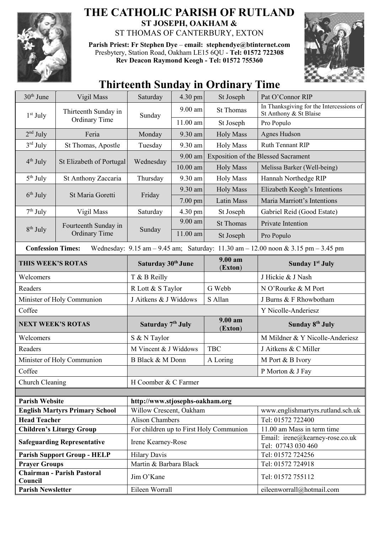

## **THE CATHOLIC PARISH OF RUTLAND ST JOSEPH, OAKHAM &**  ST THOMAS OF CANTERBURY, EXTON

**Parish Priest: Fr Stephen Dye** – **[email: stephendye@btinternet.com](mailto:email:%20%20stephendye@btinternet.com)** Presbytery, Station Road, Oakham LE15 6QU - **Tel: 01572 722308 Rev Deacon Raymond Keogh - Tel: 01572 755360**



## **Thirteenth Sunday in Ordinary Time**

| 30 <sup>th</sup> June                                                                                                                                               | Vigil Mass                                   | Saturday                                | $4.30 \text{ pm}$ | St Joseph             | Pat O'Connor RIP                                                   |  |
|---------------------------------------------------------------------------------------------------------------------------------------------------------------------|----------------------------------------------|-----------------------------------------|-------------------|-----------------------|--------------------------------------------------------------------|--|
| $1st$ July                                                                                                                                                          | Thirteenth Sunday in<br><b>Ordinary Time</b> | Sunday                                  | $9.00$ am         | <b>St Thomas</b>      | In Thanksgiving for the Intercessions of<br>St Anthony & St Blaise |  |
|                                                                                                                                                                     |                                              |                                         | $11.00$ am        | St Joseph             | Pro Populo                                                         |  |
| $2nd$ July                                                                                                                                                          | Feria                                        | Monday                                  | 9.30 am           | <b>Holy Mass</b>      | Agnes Hudson                                                       |  |
| 3rd July                                                                                                                                                            | St Thomas, Apostle                           | Tuesday                                 | 9.30 am           | <b>Holy Mass</b>      | Ruth Tennant RIP                                                   |  |
| $4th$ July                                                                                                                                                          | St Elizabeth of Portugal                     | Wednesday                               | $9.00$ am         |                       | <b>Exposition of the Blessed Sacrament</b>                         |  |
|                                                                                                                                                                     |                                              |                                         | $10.00$ am        | <b>Holy Mass</b>      | Melissa Barker (Well-being)                                        |  |
| $5th$ July                                                                                                                                                          | St Anthony Zaccaria                          | Thursday                                | 9.30 am           | <b>Holy Mass</b>      | Hannah Northedge RIP                                               |  |
|                                                                                                                                                                     |                                              |                                         | 9.30 am           | <b>Holy Mass</b>      | Elizabeth Keogh's Intentions                                       |  |
| $6th$ July                                                                                                                                                          | St Maria Goretti                             | Friday                                  | $7.00$ pm         | Latin Mass            | Maria Marriott's Intentions                                        |  |
| $7th$ July                                                                                                                                                          | Vigil Mass                                   | Saturday                                | 4.30 pm           | St Joseph             | Gabriel Reid (Good Estate)                                         |  |
|                                                                                                                                                                     | Fourteenth Sunday in                         |                                         | 9.00 am           | <b>St Thomas</b>      | Private Intention                                                  |  |
| $8th$ July                                                                                                                                                          | <b>Ordinary Time</b>                         | Sunday                                  | 11.00 am          | St Joseph             | Pro Populo                                                         |  |
| Wednesday: $9.15 \text{ am} - 9.45 \text{ am}$ ; Saturday: $11.30 \text{ am} - 12.00 \text{ noon} \& 3.15 \text{ pm} - 3.45 \text{ pm}$<br><b>Confession Times:</b> |                                              |                                         |                   |                       |                                                                    |  |
| THIS WEEK'S ROTAS                                                                                                                                                   |                                              | Saturday 30th June                      |                   | $9.00 a$ m<br>(Exton) | <b>Sunday 1st July</b>                                             |  |
| Welcomers                                                                                                                                                           |                                              | T & B Reilly                            |                   |                       | J Hickie & J Nash                                                  |  |
| Readers                                                                                                                                                             |                                              | R Lott & S Taylor                       |                   | G Webb                | N O'Rourke & M Port                                                |  |
| Minister of Holy Communion                                                                                                                                          |                                              | J Aitkens & J Widdows                   |                   | S Allan               | J Burns & F Rhowbotham                                             |  |
| Coffee                                                                                                                                                              |                                              |                                         |                   |                       | Y Nicolle-Anderiesz                                                |  |
| <b>NEXT WEEK'S ROTAS</b>                                                                                                                                            |                                              | Saturday 7 <sup>th</sup> July           |                   | $9.00 a$ m<br>(Exton) | <b>Sunday 8th July</b>                                             |  |
| Welcomers                                                                                                                                                           |                                              | S & N Taylor                            |                   |                       | M Mildner & Y Nicolle-Anderiesz                                    |  |
| Readers                                                                                                                                                             |                                              | M Vincent & J Widdows                   |                   | <b>TBC</b>            | J Aitkens & C Miller                                               |  |
| Minister of Holy Communion                                                                                                                                          |                                              | B Black & M Donn                        |                   | A Loring              | M Port & B Ivory                                                   |  |
| Coffee                                                                                                                                                              |                                              |                                         |                   |                       | P Morton & J Fay                                                   |  |
| Church Cleaning                                                                                                                                                     |                                              | H Coomber & C Farmer                    |                   |                       |                                                                    |  |
|                                                                                                                                                                     |                                              |                                         |                   |                       |                                                                    |  |
| <b>Parish Website</b>                                                                                                                                               |                                              | http://www.stjosephs-oakham.org         |                   |                       |                                                                    |  |
| <b>English Martyrs Primary School</b>                                                                                                                               |                                              | Willow Crescent, Oakham                 |                   |                       | www.englishmartyrs.rutland.sch.uk                                  |  |
| <b>Head Teacher</b>                                                                                                                                                 |                                              | <b>Alison Chambers</b>                  |                   |                       | Tel: 01572 722400                                                  |  |
| <b>Children's Liturgy Group</b>                                                                                                                                     |                                              | For children up to First Holy Communion |                   |                       | 11.00 am Mass in term time<br>Email: irene@kearney-rose.co.uk      |  |
| <b>Safeguarding Representative</b>                                                                                                                                  |                                              | Irene Kearney-Rose                      |                   |                       | Tel: 07743 030 460                                                 |  |
| <b>Parish Support Group - HELP</b>                                                                                                                                  |                                              | <b>Hilary Davis</b>                     |                   |                       | Tel: 01572 724256                                                  |  |
| <b>Prayer Groups</b>                                                                                                                                                |                                              | Martin & Barbara Black                  |                   |                       | Tel: 01572 724918                                                  |  |
| <b>Chairman - Parish Pastoral</b><br>Council                                                                                                                        |                                              | Jim O'Kane                              |                   |                       | Tel: 01572 755112                                                  |  |
| <b>Parish Newsletter</b>                                                                                                                                            |                                              | Eileen Worrall                          |                   |                       | eileenworrall@hotmail.com                                          |  |